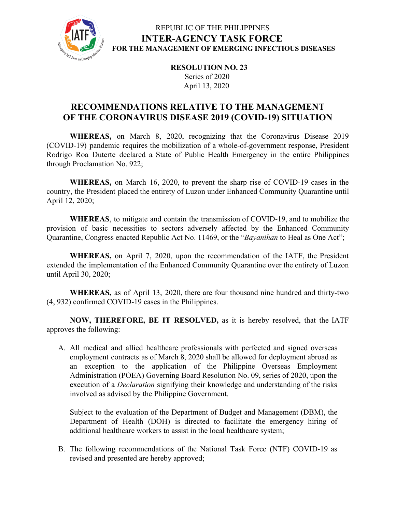

#### REPUBLIC OF THE PHILIPPINES **INTER-AGENCY TASK FORCE FOR THE MANAGEMENT OF EMERGING INFECTIOUS DISEASES**

**RESOLUTION NO. 23** Series of 2020 April 13, 2020

## **RECOMMENDATIONS RELATIVE TO THE MANAGEMENT OF THE CORONAVIRUS DISEASE 2019 (COVID-19) SITUATION**

**WHEREAS,** on March 8, 2020, recognizing that the Coronavirus Disease 2019 (COVID-19) pandemic requires the mobilization of a whole-of-government response, President Rodrigo Roa Duterte declared a State of Public Health Emergency in the entire Philippines through Proclamation No. 922;

**WHEREAS,** on March 16, 2020, to prevent the sharp rise of COVID-19 cases in the country, the President placed the entirety of Luzon under Enhanced Community Quarantine until April 12, 2020;

**WHEREAS**, to mitigate and contain the transmission of COVID-19, and to mobilize the provision of basic necessities to sectors adversely affected by the Enhanced Community Quarantine, Congress enacted Republic Act No. 11469, or the "*Bayanihan* to Heal as One Act";

**WHEREAS,** on April 7, 2020, upon the recommendation of the IATF, the President extended the implementation of the Enhanced Community Quarantine over the entirety of Luzon until April 30, 2020;

**WHEREAS,** as of April 13, 2020, there are four thousand nine hundred and thirty-two (4, 932) confirmed COVID-19 cases in the Philippines.

**NOW, THEREFORE, BE IT RESOLVED,** as it is hereby resolved, that the IATF approves the following:

A. All medical and allied healthcare professionals with perfected and signed overseas employment contracts as of March 8, 2020 shall be allowed for deployment abroad as an exception to the application of the Philippine Overseas Employment Administration (POEA) Governing Board Resolution No. 09, series of 2020, upon the execution of a *Declaration* signifying their knowledge and understanding of the risks involved as advised by the Philippine Government.

Subject to the evaluation of the Department of Budget and Management (DBM), the Department of Health (DOH) is directed to facilitate the emergency hiring of additional healthcare workers to assist in the local healthcare system;

B. The following recommendations of the National Task Force (NTF) COVID-19 as revised and presented are hereby approved;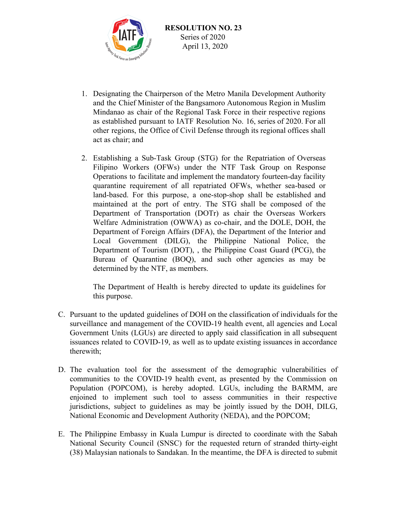

- 1. Designating the Chairperson of the Metro Manila Development Authority and the Chief Minister of the Bangsamoro Autonomous Region in Muslim Mindanao as chair of the Regional Task Force in their respective regions as established pursuant to IATF Resolution No. 16, series of 2020. For all other regions, the Office of Civil Defense through its regional offices shall act as chair; and
- 2. Establishing a Sub-Task Group (STG) for the Repatriation of Overseas Filipino Workers (OFWs) under the NTF Task Group on Response Operations to facilitate and implement the mandatory fourteen-day facility quarantine requirement of all repatriated OFWs, whether sea-based or land-based. For this purpose, a one-stop-shop shall be established and maintained at the port of entry. The STG shall be composed of the Department of Transportation (DOTr) as chair the Overseas Workers Welfare Administration (OWWA) as co-chair, and the DOLE, DOH, the Department of Foreign Affairs (DFA), the Department of the Interior and Local Government (DILG), the Philippine National Police, the Department of Tourism (DOT), , the Philippine Coast Guard (PCG), the Bureau of Quarantine (BOQ), and such other agencies as may be determined by the NTF, as members.

The Department of Health is hereby directed to update its guidelines for this purpose.

- C. Pursuant to the updated guidelines of DOH on the classification of individuals for the surveillance and management of the COVID-19 health event, all agencies and Local Government Units (LGUs) are directed to apply said classification in all subsequent issuances related to COVID-19, as well as to update existing issuances in accordance therewith;
- D. The evaluation tool for the assessment of the demographic vulnerabilities of communities to the COVID-19 health event, as presented by the Commission on Population (POPCOM), is hereby adopted. LGUs, including the BARMM, are enjoined to implement such tool to assess communities in their respective jurisdictions, subject to guidelines as may be jointly issued by the DOH, DILG, National Economic and Development Authority (NEDA), and the POPCOM;
- E. The Philippine Embassy in Kuala Lumpur is directed to coordinate with the Sabah National Security Council (SNSC) for the requested return of stranded thirty-eight (38) Malaysian nationals to Sandakan. In the meantime, the DFA is directed to submit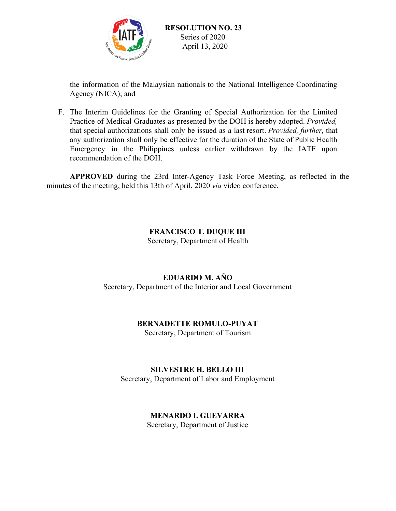

the information of the Malaysian nationals to the National Intelligence Coordinating Agency (NICA); and

F. The Interim Guidelines for the Granting of Special Authorization for the Limited Practice of Medical Graduates as presented by the DOH is hereby adopted. *Provided,* that special authorizations shall only be issued as a last resort. *Provided, further,* that any authorization shall only be effective for the duration of the State of Public Health Emergency in the Philippines unless earlier withdrawn by the IATF upon recommendation of the DOH.

**APPROVED** during the 23rd Inter-Agency Task Force Meeting, as reflected in the minutes of the meeting, held this 13th of April, 2020 *via* video conference.

#### **FRANCISCO T. DUQUE III**

Secretary, Department of Health

# **EDUARDO M. AÑO**

Secretary, Department of the Interior and Local Government

# **BERNADETTE ROMULO-PUYAT**

Secretary, Department of Tourism

#### **SILVESTRE H. BELLO III**

Secretary, Department of Labor and Employment

## **MENARDO I. GUEVARRA**

Secretary, Department of Justice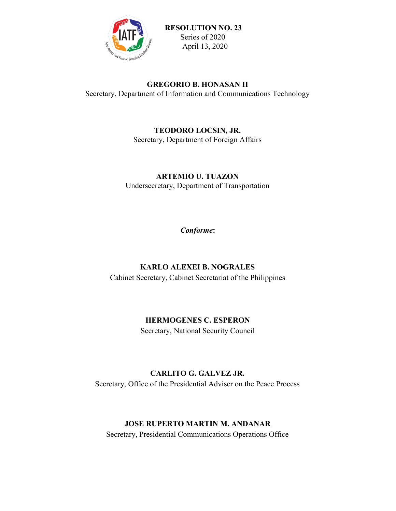

#### **GREGORIO B. HONASAN II**

Secretary, Department of Information and Communications Technology

#### **TEODORO LOCSIN, JR.**

Secretary, Department of Foreign Affairs

# **ARTEMIO U. TUAZON**

Undersecretary, Department of Transportation

*Conforme***:**

# **KARLO ALEXEI B. NOGRALES**

Cabinet Secretary, Cabinet Secretariat of the Philippines

## **HERMOGENES C. ESPERON**

Secretary, National Security Council

## **CARLITO G. GALVEZ JR.**

Secretary, Office of the Presidential Adviser on the Peace Process

## **JOSE RUPERTO MARTIN M. ANDANAR**

Secretary, Presidential Communications Operations Office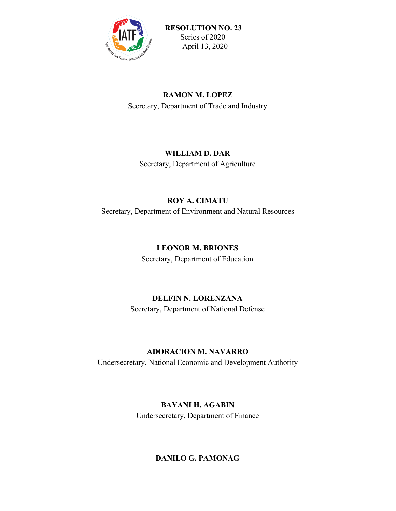

## **RAMON M. LOPEZ**

Secretary, Department of Trade and Industry

## **WILLIAM D. DAR**

Secretary, Department of Agriculture

## **ROY A. CIMATU**

Secretary, Department of Environment and Natural Resources

## **LEONOR M. BRIONES**

Secretary, Department of Education

# **DELFIN N. LORENZANA**

Secretary, Department of National Defense

# **ADORACION M. NAVARRO**

Undersecretary, National Economic and Development Authority

# **BAYANI H. AGABIN**

Undersecretary, Department of Finance

# **DANILO G. PAMONAG**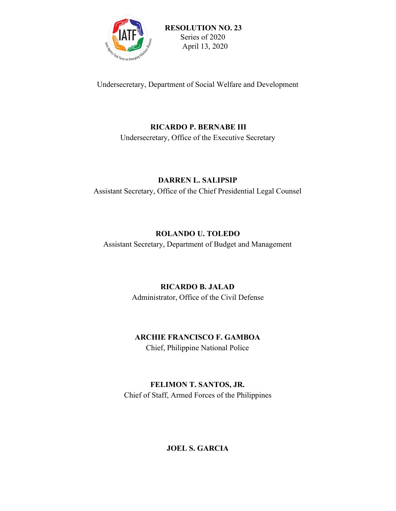

Undersecretary, Department of Social Welfare and Development

#### **RICARDO P. BERNABE III**

Undersecretary, Office of the Executive Secretary

## **DARREN L. SALIPSIP**

Assistant Secretary, Office of the Chief Presidential Legal Counsel

## **ROLANDO U. TOLEDO**

Assistant Secretary, Department of Budget and Management

## **RICARDO B. JALAD**

Administrator, Office of the Civil Defense

## **ARCHIE FRANCISCO F. GAMBOA**

Chief, Philippine National Police

# **FELIMON T. SANTOS, JR.**

Chief of Staff, Armed Forces of the Philippines

## **JOEL S. GARCIA**